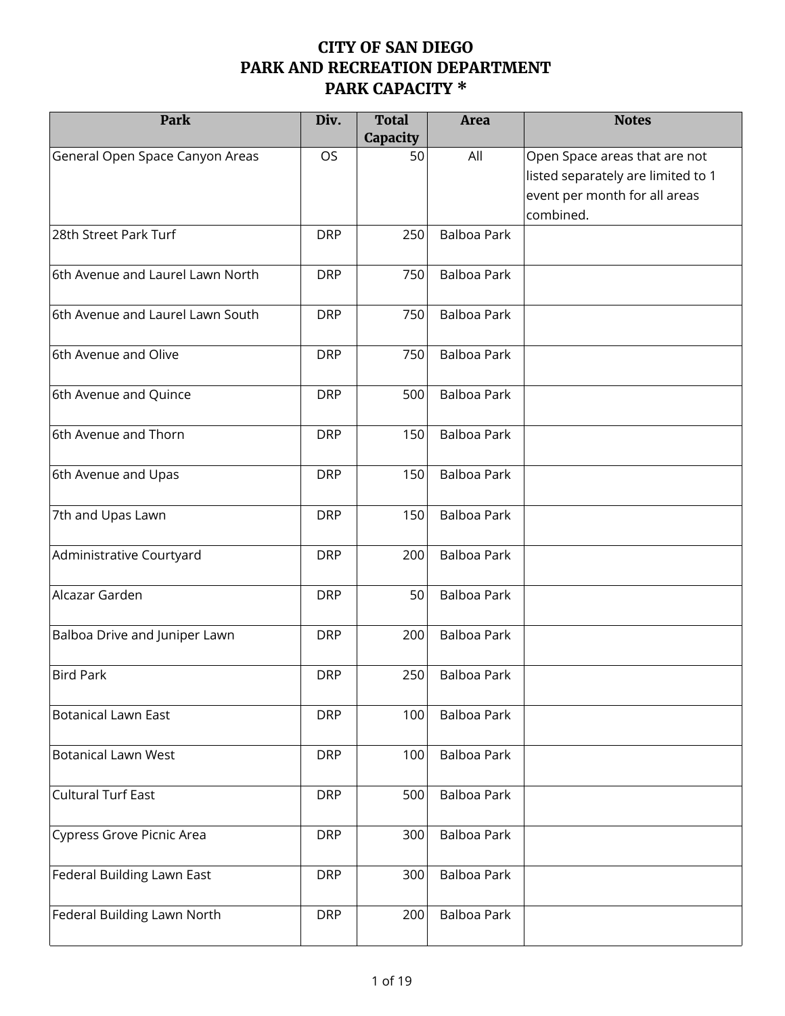## **CITY OF SAN DIEGO PARK AND RECREATION DEPARTMENT PARK CAPACITY \***

| Park                             | Div.       | <b>Total</b><br>Capacity | <b>Area</b>        | <b>Notes</b>                                                                                                      |
|----------------------------------|------------|--------------------------|--------------------|-------------------------------------------------------------------------------------------------------------------|
| General Open Space Canyon Areas  | <b>OS</b>  | 50                       | All                | Open Space areas that are not<br>listed separately are limited to 1<br>event per month for all areas<br>combined. |
| 28th Street Park Turf            | <b>DRP</b> | 250                      | <b>Balboa Park</b> |                                                                                                                   |
| 6th Avenue and Laurel Lawn North | <b>DRP</b> | 750                      | <b>Balboa Park</b> |                                                                                                                   |
| 6th Avenue and Laurel Lawn South | <b>DRP</b> | 750                      | <b>Balboa Park</b> |                                                                                                                   |
| 6th Avenue and Olive             | <b>DRP</b> | 750                      | <b>Balboa Park</b> |                                                                                                                   |
| 6th Avenue and Quince            | <b>DRP</b> | 500                      | <b>Balboa Park</b> |                                                                                                                   |
| 6th Avenue and Thorn             | <b>DRP</b> | 150                      | <b>Balboa Park</b> |                                                                                                                   |
| 6th Avenue and Upas              | <b>DRP</b> | 150                      | <b>Balboa Park</b> |                                                                                                                   |
| 7th and Upas Lawn                | <b>DRP</b> | 150                      | <b>Balboa Park</b> |                                                                                                                   |
| Administrative Courtyard         | <b>DRP</b> | 200                      | <b>Balboa Park</b> |                                                                                                                   |
| Alcazar Garden                   | <b>DRP</b> | 50                       | <b>Balboa Park</b> |                                                                                                                   |
| Balboa Drive and Juniper Lawn    | <b>DRP</b> | 200                      | <b>Balboa Park</b> |                                                                                                                   |
| <b>Bird Park</b>                 | <b>DRP</b> | 250                      | <b>Balboa Park</b> |                                                                                                                   |
| <b>Botanical Lawn East</b>       | <b>DRP</b> | 100                      | <b>Balboa Park</b> |                                                                                                                   |
| <b>Botanical Lawn West</b>       | <b>DRP</b> | 100                      | <b>Balboa Park</b> |                                                                                                                   |
| <b>Cultural Turf East</b>        | <b>DRP</b> | 500                      | <b>Balboa Park</b> |                                                                                                                   |
| Cypress Grove Picnic Area        | <b>DRP</b> | 300                      | <b>Balboa Park</b> |                                                                                                                   |
| Federal Building Lawn East       | <b>DRP</b> | 300                      | <b>Balboa Park</b> |                                                                                                                   |
| Federal Building Lawn North      | <b>DRP</b> | 200                      | <b>Balboa Park</b> |                                                                                                                   |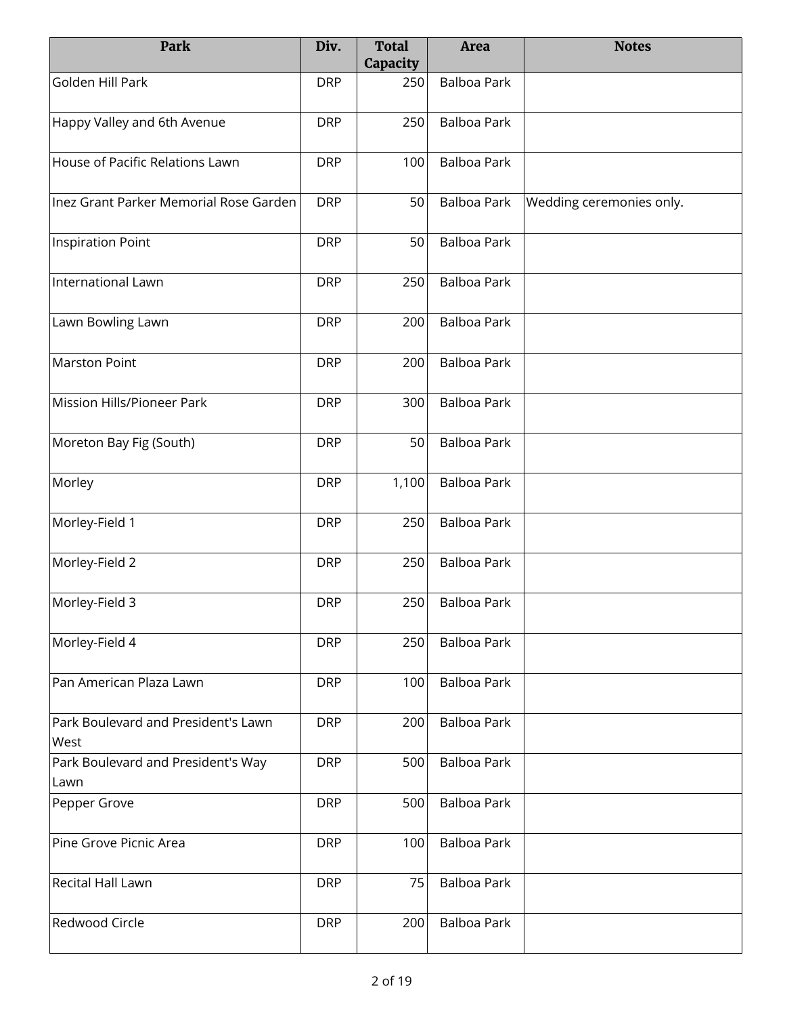| Park                                        | Div.       | <b>Total</b><br>Capacity | <b>Area</b>        | <b>Notes</b>             |
|---------------------------------------------|------------|--------------------------|--------------------|--------------------------|
| Golden Hill Park                            | <b>DRP</b> | 250                      | <b>Balboa Park</b> |                          |
| Happy Valley and 6th Avenue                 | <b>DRP</b> | 250                      | <b>Balboa Park</b> |                          |
| House of Pacific Relations Lawn             | <b>DRP</b> | 100                      | Balboa Park        |                          |
| Inez Grant Parker Memorial Rose Garden      | <b>DRP</b> | 50                       | Balboa Park        | Wedding ceremonies only. |
| Inspiration Point                           | <b>DRP</b> | 50                       | <b>Balboa Park</b> |                          |
| International Lawn                          | <b>DRP</b> | 250                      | Balboa Park        |                          |
| Lawn Bowling Lawn                           | <b>DRP</b> | 200                      | <b>Balboa Park</b> |                          |
| <b>Marston Point</b>                        | <b>DRP</b> | 200                      | <b>Balboa Park</b> |                          |
| Mission Hills/Pioneer Park                  | <b>DRP</b> | 300                      | <b>Balboa Park</b> |                          |
| Moreton Bay Fig (South)                     | <b>DRP</b> | 50                       | <b>Balboa Park</b> |                          |
| Morley                                      | <b>DRP</b> | 1,100                    | Balboa Park        |                          |
| Morley-Field 1                              | <b>DRP</b> | 250                      | <b>Balboa Park</b> |                          |
| Morley-Field 2                              | <b>DRP</b> | 250                      | <b>Balboa Park</b> |                          |
| Morley-Field 3                              | <b>DRP</b> | 250                      | <b>Balboa Park</b> |                          |
| Morley-Field 4                              | <b>DRP</b> | 250                      | <b>Balboa Park</b> |                          |
| Pan American Plaza Lawn                     | <b>DRP</b> | 100                      | <b>Balboa Park</b> |                          |
| Park Boulevard and President's Lawn<br>West | <b>DRP</b> | 200                      | <b>Balboa Park</b> |                          |
| Park Boulevard and President's Way<br>Lawn  | <b>DRP</b> | 500                      | <b>Balboa Park</b> |                          |
| Pepper Grove                                | <b>DRP</b> | 500                      | <b>Balboa Park</b> |                          |
| Pine Grove Picnic Area                      | <b>DRP</b> | 100                      | <b>Balboa Park</b> |                          |
| <b>Recital Hall Lawn</b>                    | <b>DRP</b> | 75                       | <b>Balboa Park</b> |                          |
| <b>Redwood Circle</b>                       | <b>DRP</b> | 200                      | <b>Balboa Park</b> |                          |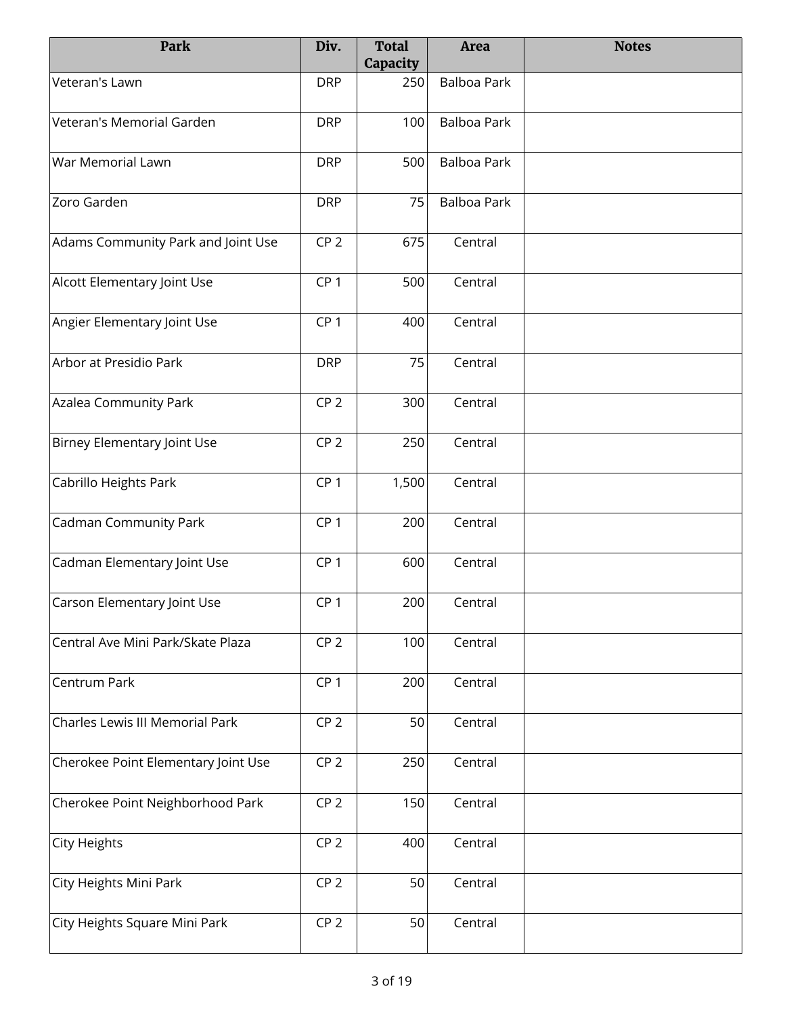| Park                                | Div.            | <b>Total</b><br>Capacity | <b>Area</b>        | <b>Notes</b> |
|-------------------------------------|-----------------|--------------------------|--------------------|--------------|
| Veteran's Lawn                      | <b>DRP</b>      | 250                      | <b>Balboa Park</b> |              |
| Veteran's Memorial Garden           | <b>DRP</b>      | 100                      | <b>Balboa Park</b> |              |
| War Memorial Lawn                   | <b>DRP</b>      | 500                      | Balboa Park        |              |
| Zoro Garden                         | <b>DRP</b>      | 75                       | <b>Balboa Park</b> |              |
| Adams Community Park and Joint Use  | CP <sub>2</sub> | 675                      | Central            |              |
| Alcott Elementary Joint Use         | CP <sub>1</sub> | 500                      | Central            |              |
| Angier Elementary Joint Use         | CP <sub>1</sub> | 400                      | Central            |              |
| Arbor at Presidio Park              | <b>DRP</b>      | 75                       | Central            |              |
| Azalea Community Park               | CP <sub>2</sub> | 300                      | Central            |              |
| Birney Elementary Joint Use         | CP <sub>2</sub> | 250                      | Central            |              |
| Cabrillo Heights Park               | CP <sub>1</sub> | 1,500                    | Central            |              |
| Cadman Community Park               | CP <sub>1</sub> | 200                      | Central            |              |
| Cadman Elementary Joint Use         | CP <sub>1</sub> | 600                      | Central            |              |
| Carson Elementary Joint Use         | CP <sub>1</sub> | 200                      | Central            |              |
| Central Ave Mini Park/Skate Plaza   | CP <sub>2</sub> | 100                      | Central            |              |
| Centrum Park                        | CP <sub>1</sub> | 200                      | Central            |              |
| Charles Lewis III Memorial Park     | CP <sub>2</sub> | 50                       | Central            |              |
| Cherokee Point Elementary Joint Use | CP <sub>2</sub> | 250                      | Central            |              |
| Cherokee Point Neighborhood Park    | CP <sub>2</sub> | 150                      | Central            |              |
| <b>City Heights</b>                 | CP <sub>2</sub> | 400                      | Central            |              |
| City Heights Mini Park              | CP <sub>2</sub> | 50                       | Central            |              |
| City Heights Square Mini Park       | CP <sub>2</sub> | 50                       | Central            |              |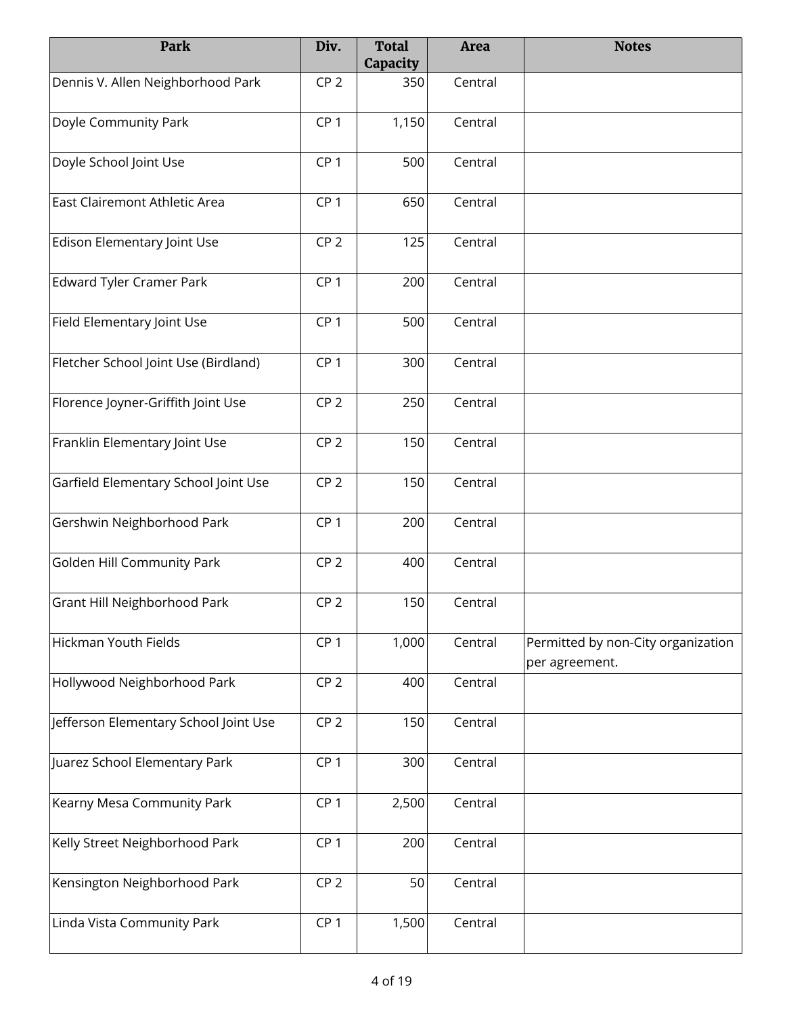| Park                                  | Div.            | <b>Total</b><br>Capacity | Area    | <b>Notes</b>                                         |
|---------------------------------------|-----------------|--------------------------|---------|------------------------------------------------------|
| Dennis V. Allen Neighborhood Park     | CP <sub>2</sub> | 350                      | Central |                                                      |
| Doyle Community Park                  | CP <sub>1</sub> | 1,150                    | Central |                                                      |
| Doyle School Joint Use                | CP <sub>1</sub> | 500                      | Central |                                                      |
| East Clairemont Athletic Area         | CP <sub>1</sub> | 650                      | Central |                                                      |
| Edison Elementary Joint Use           | CP <sub>2</sub> | 125                      | Central |                                                      |
| Edward Tyler Cramer Park              | CP <sub>1</sub> | 200                      | Central |                                                      |
| Field Elementary Joint Use            | CP <sub>1</sub> | 500                      | Central |                                                      |
| Fletcher School Joint Use (Birdland)  | CP <sub>1</sub> | 300                      | Central |                                                      |
| Florence Joyner-Griffith Joint Use    | CP <sub>2</sub> | 250                      | Central |                                                      |
| Franklin Elementary Joint Use         | CP <sub>2</sub> | 150                      | Central |                                                      |
| Garfield Elementary School Joint Use  | CP <sub>2</sub> | 150                      | Central |                                                      |
| Gershwin Neighborhood Park            | CP <sub>1</sub> | 200                      | Central |                                                      |
| Golden Hill Community Park            | CP <sub>2</sub> | 400                      | Central |                                                      |
| Grant Hill Neighborhood Park          | CP <sub>2</sub> | 150                      | Central |                                                      |
| Hickman Youth Fields                  | CP <sub>1</sub> | 1,000                    | Central | Permitted by non-City organization<br>per agreement. |
| Hollywood Neighborhood Park           | CP <sub>2</sub> | 400                      | Central |                                                      |
| Jefferson Elementary School Joint Use | CP <sub>2</sub> | 150                      | Central |                                                      |
| Juarez School Elementary Park         | CP <sub>1</sub> | 300                      | Central |                                                      |
| Kearny Mesa Community Park            | CP <sub>1</sub> | 2,500                    | Central |                                                      |
| Kelly Street Neighborhood Park        | CP <sub>1</sub> | 200                      | Central |                                                      |
| Kensington Neighborhood Park          | CP <sub>2</sub> | 50                       | Central |                                                      |
| Linda Vista Community Park            | CP <sub>1</sub> | 1,500                    | Central |                                                      |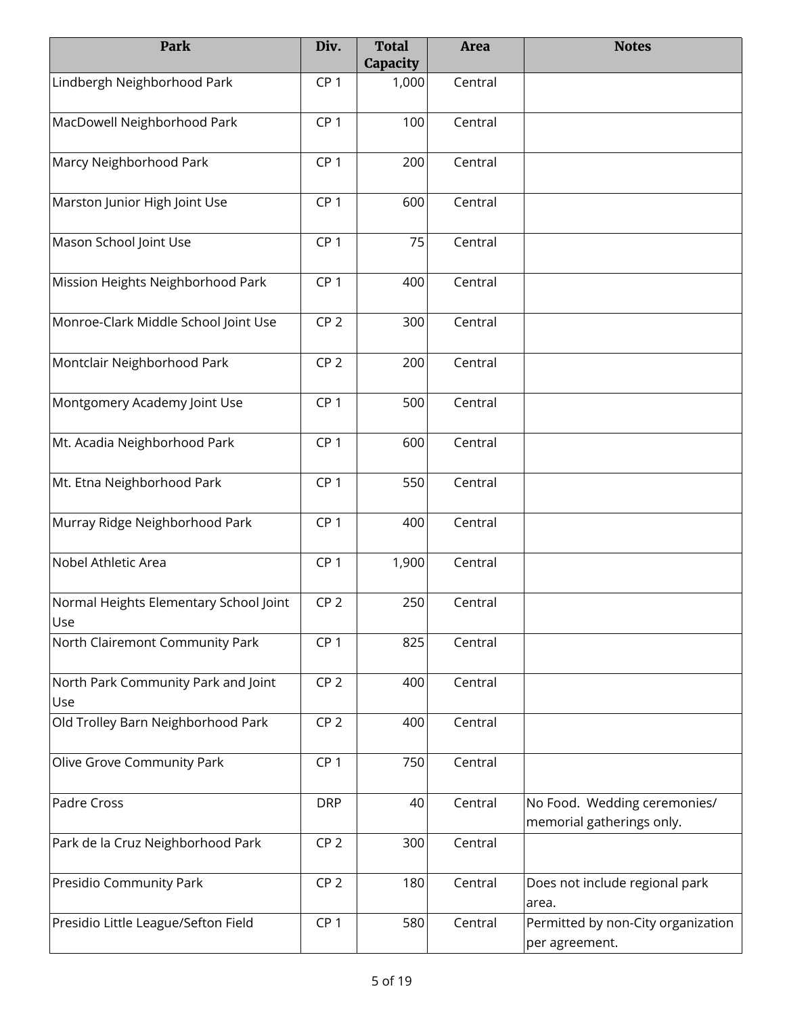| Park                                          | Div.            | <b>Total</b><br>Capacity | Area    | <b>Notes</b>                                              |
|-----------------------------------------------|-----------------|--------------------------|---------|-----------------------------------------------------------|
| Lindbergh Neighborhood Park                   | CP <sub>1</sub> | 1,000                    | Central |                                                           |
| MacDowell Neighborhood Park                   | CP <sub>1</sub> | 100                      | Central |                                                           |
| Marcy Neighborhood Park                       | CP <sub>1</sub> | 200                      | Central |                                                           |
| Marston Junior High Joint Use                 | CP <sub>1</sub> | 600                      | Central |                                                           |
| Mason School Joint Use                        | CP <sub>1</sub> | 75                       | Central |                                                           |
| Mission Heights Neighborhood Park             | CP <sub>1</sub> | 400                      | Central |                                                           |
| Monroe-Clark Middle School Joint Use          | CP <sub>2</sub> | 300                      | Central |                                                           |
| Montclair Neighborhood Park                   | CP <sub>2</sub> | 200                      | Central |                                                           |
| Montgomery Academy Joint Use                  | CP <sub>1</sub> | 500                      | Central |                                                           |
| Mt. Acadia Neighborhood Park                  | CP <sub>1</sub> | 600                      | Central |                                                           |
| Mt. Etna Neighborhood Park                    | CP <sub>1</sub> | 550                      | Central |                                                           |
| Murray Ridge Neighborhood Park                | CP <sub>1</sub> | 400                      | Central |                                                           |
| Nobel Athletic Area                           | CP <sub>1</sub> | 1,900                    | Central |                                                           |
| Normal Heights Elementary School Joint<br>Use | CP <sub>2</sub> | 250                      | Central |                                                           |
| North Clairemont Community Park               | CP <sub>1</sub> | 825                      | Central |                                                           |
| North Park Community Park and Joint<br>Use    | CP <sub>2</sub> | 400                      | Central |                                                           |
| Old Trolley Barn Neighborhood Park            | CP <sub>2</sub> | 400                      | Central |                                                           |
| Olive Grove Community Park                    | CP <sub>1</sub> | 750                      | Central |                                                           |
| Padre Cross                                   | <b>DRP</b>      | 40                       | Central | No Food. Wedding ceremonies/<br>memorial gatherings only. |
| Park de la Cruz Neighborhood Park             | CP <sub>2</sub> | 300                      | Central |                                                           |
| Presidio Community Park                       | CP <sub>2</sub> | 180                      | Central | Does not include regional park<br>area.                   |
| Presidio Little League/Sefton Field           | CP <sub>1</sub> | 580                      | Central | Permitted by non-City organization<br>per agreement.      |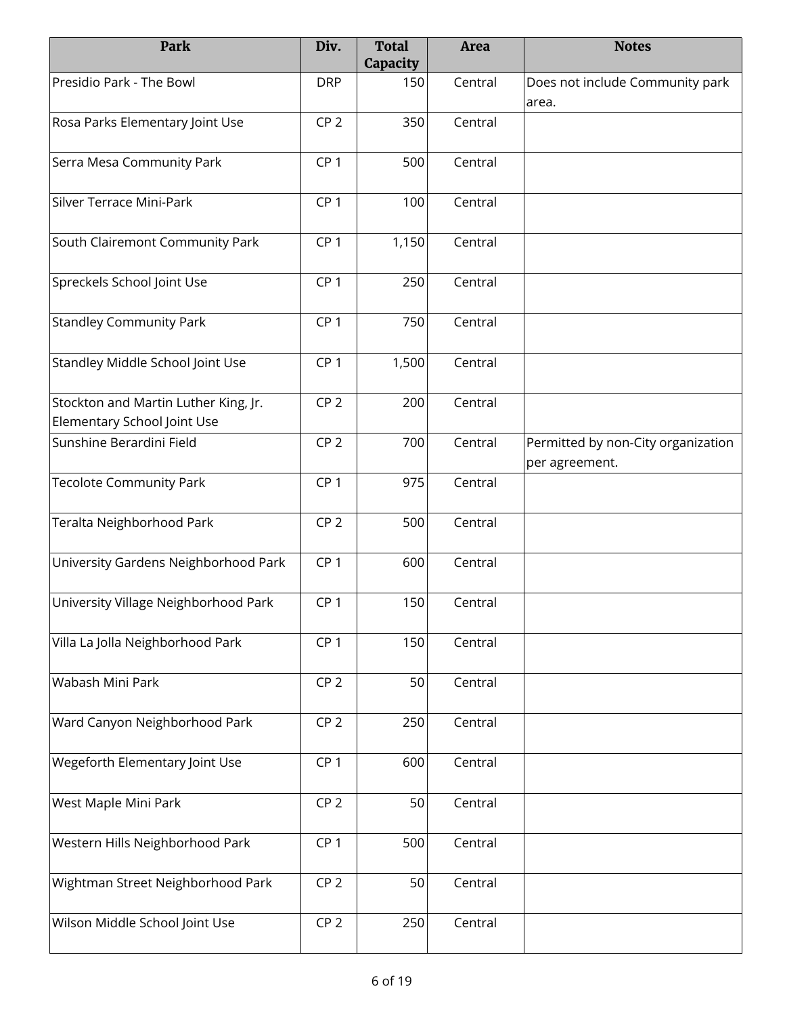| Park                                                                | Div.            | <b>Total</b><br>Capacity | <b>Area</b> | <b>Notes</b>                                         |
|---------------------------------------------------------------------|-----------------|--------------------------|-------------|------------------------------------------------------|
| Presidio Park - The Bowl                                            | <b>DRP</b>      | 150                      | Central     | Does not include Community park<br>area.             |
| Rosa Parks Elementary Joint Use                                     | CP <sub>2</sub> | 350                      | Central     |                                                      |
| Serra Mesa Community Park                                           | CP <sub>1</sub> | 500                      | Central     |                                                      |
| Silver Terrace Mini-Park                                            | CP <sub>1</sub> | 100                      | Central     |                                                      |
| South Clairemont Community Park                                     | CP <sub>1</sub> | 1,150                    | Central     |                                                      |
| Spreckels School Joint Use                                          | CP <sub>1</sub> | 250                      | Central     |                                                      |
| <b>Standley Community Park</b>                                      | CP <sub>1</sub> | 750                      | Central     |                                                      |
| Standley Middle School Joint Use                                    | CP <sub>1</sub> | 1,500                    | Central     |                                                      |
| Stockton and Martin Luther King, Jr.<br>Elementary School Joint Use | CP <sub>2</sub> | 200                      | Central     |                                                      |
| Sunshine Berardini Field                                            | CP <sub>2</sub> | 700                      | Central     | Permitted by non-City organization<br>per agreement. |
| <b>Tecolote Community Park</b>                                      | CP <sub>1</sub> | 975                      | Central     |                                                      |
| Teralta Neighborhood Park                                           | CP <sub>2</sub> | 500                      | Central     |                                                      |
| University Gardens Neighborhood Park                                | CP <sub>1</sub> | 600                      | Central     |                                                      |
| University Village Neighborhood Park                                | CP <sub>1</sub> | 150                      | Central     |                                                      |
| Villa La Jolla Neighborhood Park                                    | CP <sub>1</sub> | 150                      | Central     |                                                      |
| Wabash Mini Park                                                    | CP <sub>2</sub> | 50                       | Central     |                                                      |
| Ward Canyon Neighborhood Park                                       | CP <sub>2</sub> | 250                      | Central     |                                                      |
| Wegeforth Elementary Joint Use                                      | CP <sub>1</sub> | 600                      | Central     |                                                      |
| West Maple Mini Park                                                | CP <sub>2</sub> | 50                       | Central     |                                                      |
| Western Hills Neighborhood Park                                     | CP <sub>1</sub> | 500                      | Central     |                                                      |
| Wightman Street Neighborhood Park                                   | CP <sub>2</sub> | 50                       | Central     |                                                      |
| Wilson Middle School Joint Use                                      | CP <sub>2</sub> | 250                      | Central     |                                                      |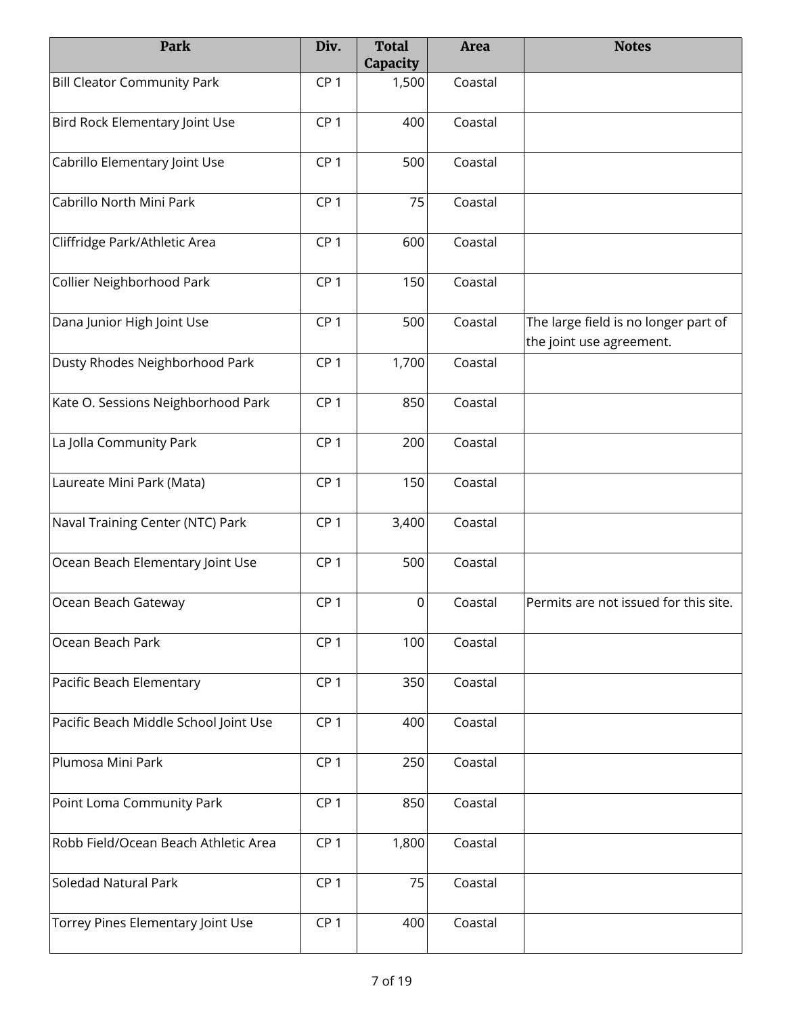| Park                                  | Div.            | <b>Total</b><br>Capacity | Area    | <b>Notes</b>                                                     |
|---------------------------------------|-----------------|--------------------------|---------|------------------------------------------------------------------|
| <b>Bill Cleator Community Park</b>    | CP <sub>1</sub> | 1,500                    | Coastal |                                                                  |
| Bird Rock Elementary Joint Use        | CP <sub>1</sub> | 400                      | Coastal |                                                                  |
| Cabrillo Elementary Joint Use         | CP <sub>1</sub> | 500                      | Coastal |                                                                  |
| Cabrillo North Mini Park              | CP <sub>1</sub> | 75                       | Coastal |                                                                  |
| Cliffridge Park/Athletic Area         | CP <sub>1</sub> | 600                      | Coastal |                                                                  |
| Collier Neighborhood Park             | CP <sub>1</sub> | 150                      | Coastal |                                                                  |
| Dana Junior High Joint Use            | CP <sub>1</sub> | 500                      | Coastal | The large field is no longer part of<br>the joint use agreement. |
| Dusty Rhodes Neighborhood Park        | CP <sub>1</sub> | 1,700                    | Coastal |                                                                  |
| Kate O. Sessions Neighborhood Park    | CP <sub>1</sub> | 850                      | Coastal |                                                                  |
| La Jolla Community Park               | CP <sub>1</sub> | 200                      | Coastal |                                                                  |
| Laureate Mini Park (Mata)             | CP <sub>1</sub> | 150                      | Coastal |                                                                  |
| Naval Training Center (NTC) Park      | CP <sub>1</sub> | 3,400                    | Coastal |                                                                  |
| Ocean Beach Elementary Joint Use      | CP <sub>1</sub> | 500                      | Coastal |                                                                  |
| Ocean Beach Gateway                   | CP <sub>1</sub> | $\mathsf 0$              | Coastal | Permits are not issued for this site.                            |
| Ocean Beach Park                      | CP <sub>1</sub> | 100                      | Coastal |                                                                  |
| Pacific Beach Elementary              | CP <sub>1</sub> | 350                      | Coastal |                                                                  |
| Pacific Beach Middle School Joint Use | CP <sub>1</sub> | 400                      | Coastal |                                                                  |
| Plumosa Mini Park                     | CP <sub>1</sub> | 250                      | Coastal |                                                                  |
| Point Loma Community Park             | CP <sub>1</sub> | 850                      | Coastal |                                                                  |
| Robb Field/Ocean Beach Athletic Area  | CP <sub>1</sub> | 1,800                    | Coastal |                                                                  |
| Soledad Natural Park                  | CP <sub>1</sub> | 75                       | Coastal |                                                                  |
| Torrey Pines Elementary Joint Use     | CP <sub>1</sub> | 400                      | Coastal |                                                                  |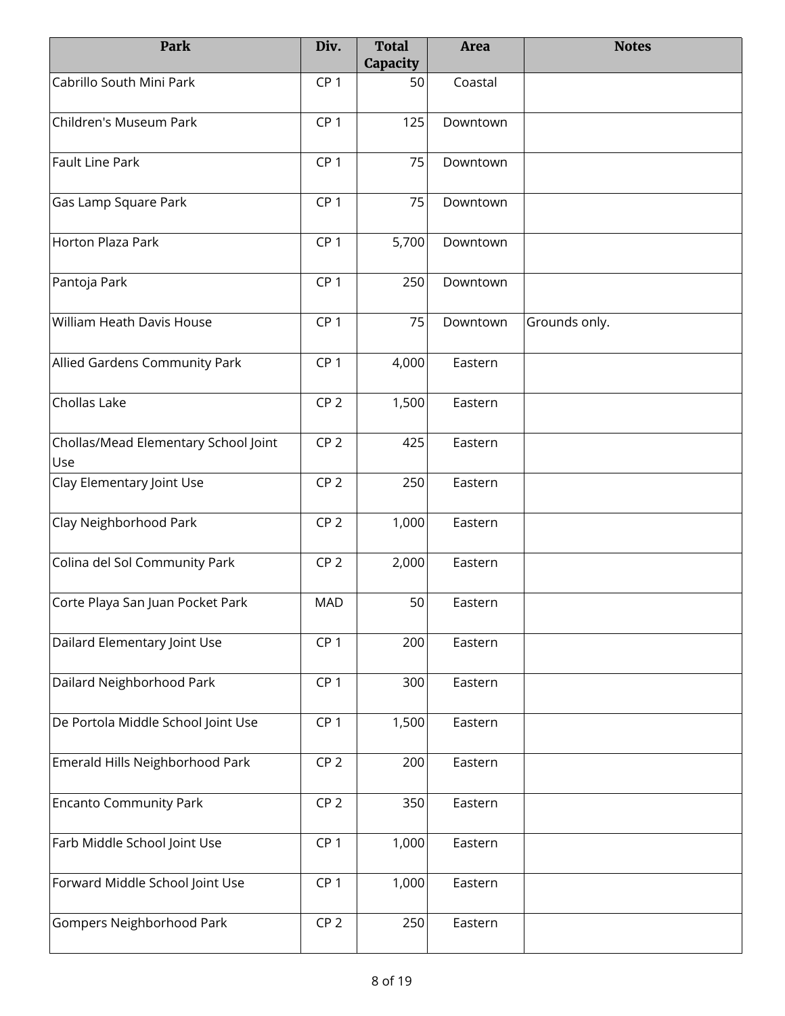| Park                                        | Div.            | <b>Total</b><br>Capacity | <b>Area</b> | <b>Notes</b>  |
|---------------------------------------------|-----------------|--------------------------|-------------|---------------|
| Cabrillo South Mini Park                    | CP <sub>1</sub> | 50                       | Coastal     |               |
| Children's Museum Park                      | CP <sub>1</sub> | 125                      | Downtown    |               |
| Fault Line Park                             | CP <sub>1</sub> | 75                       | Downtown    |               |
| Gas Lamp Square Park                        | CP <sub>1</sub> | 75                       | Downtown    |               |
| Horton Plaza Park                           | CP <sub>1</sub> | 5,700                    | Downtown    |               |
| Pantoja Park                                | CP <sub>1</sub> | 250                      | Downtown    |               |
| William Heath Davis House                   | CP <sub>1</sub> | 75                       | Downtown    | Grounds only. |
| Allied Gardens Community Park               | CP <sub>1</sub> | 4,000                    | Eastern     |               |
| Chollas Lake                                | CP <sub>2</sub> | 1,500                    | Eastern     |               |
| Chollas/Mead Elementary School Joint<br>Use | CP <sub>2</sub> | 425                      | Eastern     |               |
| Clay Elementary Joint Use                   | CP <sub>2</sub> | 250                      | Eastern     |               |
| Clay Neighborhood Park                      | CP <sub>2</sub> | 1,000                    | Eastern     |               |
| Colina del Sol Community Park               | CP <sub>2</sub> | 2,000                    | Eastern     |               |
| Corte Playa San Juan Pocket Park            | MAD             | 50                       | Eastern     |               |
| Dailard Elementary Joint Use                | CP <sub>1</sub> | 200                      | Eastern     |               |
| Dailard Neighborhood Park                   | CP <sub>1</sub> | 300                      | Eastern     |               |
| De Portola Middle School Joint Use          | CP <sub>1</sub> | 1,500                    | Eastern     |               |
| Emerald Hills Neighborhood Park             | CP <sub>2</sub> | 200                      | Eastern     |               |
| <b>Encanto Community Park</b>               | CP <sub>2</sub> | 350                      | Eastern     |               |
| Farb Middle School Joint Use                | CP <sub>1</sub> | 1,000                    | Eastern     |               |
| Forward Middle School Joint Use             | CP <sub>1</sub> | 1,000                    | Eastern     |               |
| Gompers Neighborhood Park                   | CP <sub>2</sub> | 250                      | Eastern     |               |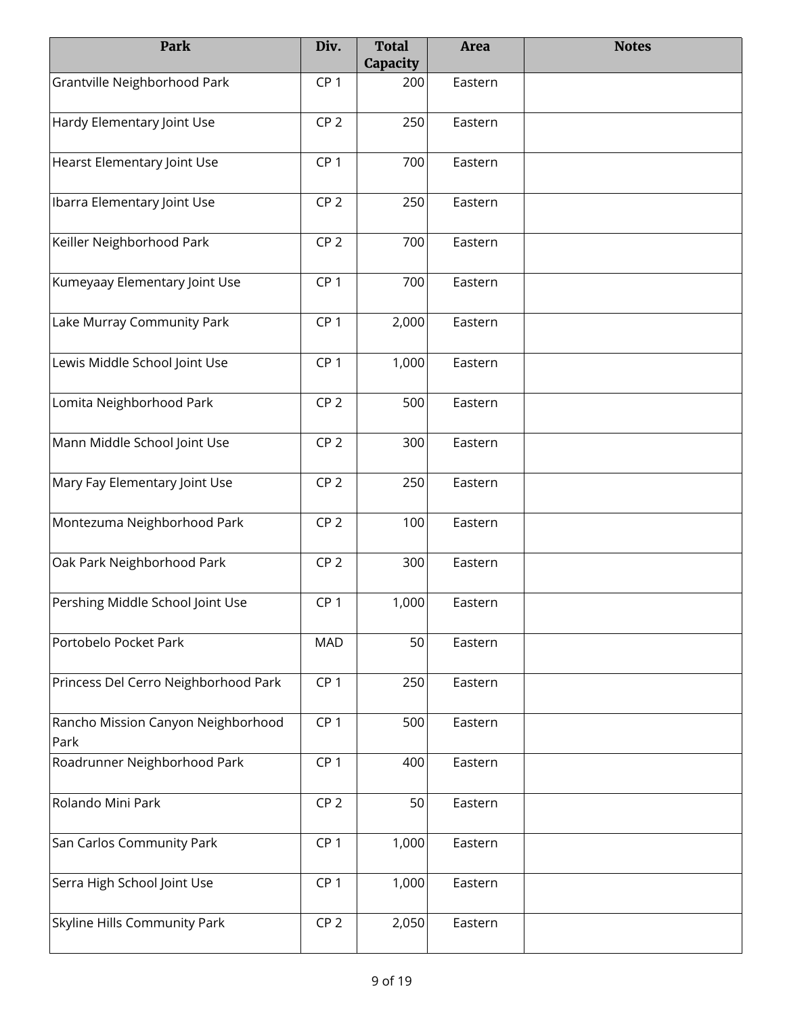| Park                                       | Div.            | <b>Total</b><br>Capacity | <b>Area</b> | <b>Notes</b> |
|--------------------------------------------|-----------------|--------------------------|-------------|--------------|
| Grantville Neighborhood Park               | CP <sub>1</sub> | 200                      | Eastern     |              |
| Hardy Elementary Joint Use                 | CP <sub>2</sub> | 250                      | Eastern     |              |
| Hearst Elementary Joint Use                | CP <sub>1</sub> | 700                      | Eastern     |              |
| Ibarra Elementary Joint Use                | CP <sub>2</sub> | 250                      | Eastern     |              |
| Keiller Neighborhood Park                  | CP <sub>2</sub> | 700                      | Eastern     |              |
| Kumeyaay Elementary Joint Use              | CP <sub>1</sub> | 700                      | Eastern     |              |
| Lake Murray Community Park                 | CP <sub>1</sub> | 2,000                    | Eastern     |              |
| Lewis Middle School Joint Use              | CP <sub>1</sub> | 1,000                    | Eastern     |              |
| Lomita Neighborhood Park                   | CP <sub>2</sub> | 500                      | Eastern     |              |
| Mann Middle School Joint Use               | CP <sub>2</sub> | 300                      | Eastern     |              |
| Mary Fay Elementary Joint Use              | CP <sub>2</sub> | 250                      | Eastern     |              |
| Montezuma Neighborhood Park                | CP <sub>2</sub> | 100                      | Eastern     |              |
| Oak Park Neighborhood Park                 | CP <sub>2</sub> | 300                      | Eastern     |              |
| Pershing Middle School Joint Use           | CP <sub>1</sub> | 1,000                    | Eastern     |              |
| Portobelo Pocket Park                      | <b>MAD</b>      | 50                       | Eastern     |              |
| Princess Del Cerro Neighborhood Park       | CP <sub>1</sub> | 250                      | Eastern     |              |
| Rancho Mission Canyon Neighborhood<br>Park | CP <sub>1</sub> | 500                      | Eastern     |              |
| Roadrunner Neighborhood Park               | CP <sub>1</sub> | 400                      | Eastern     |              |
| Rolando Mini Park                          | CP <sub>2</sub> | 50                       | Eastern     |              |
| San Carlos Community Park                  | CP <sub>1</sub> | 1,000                    | Eastern     |              |
| Serra High School Joint Use                | CP <sub>1</sub> | 1,000                    | Eastern     |              |
| Skyline Hills Community Park               | CP <sub>2</sub> | 2,050                    | Eastern     |              |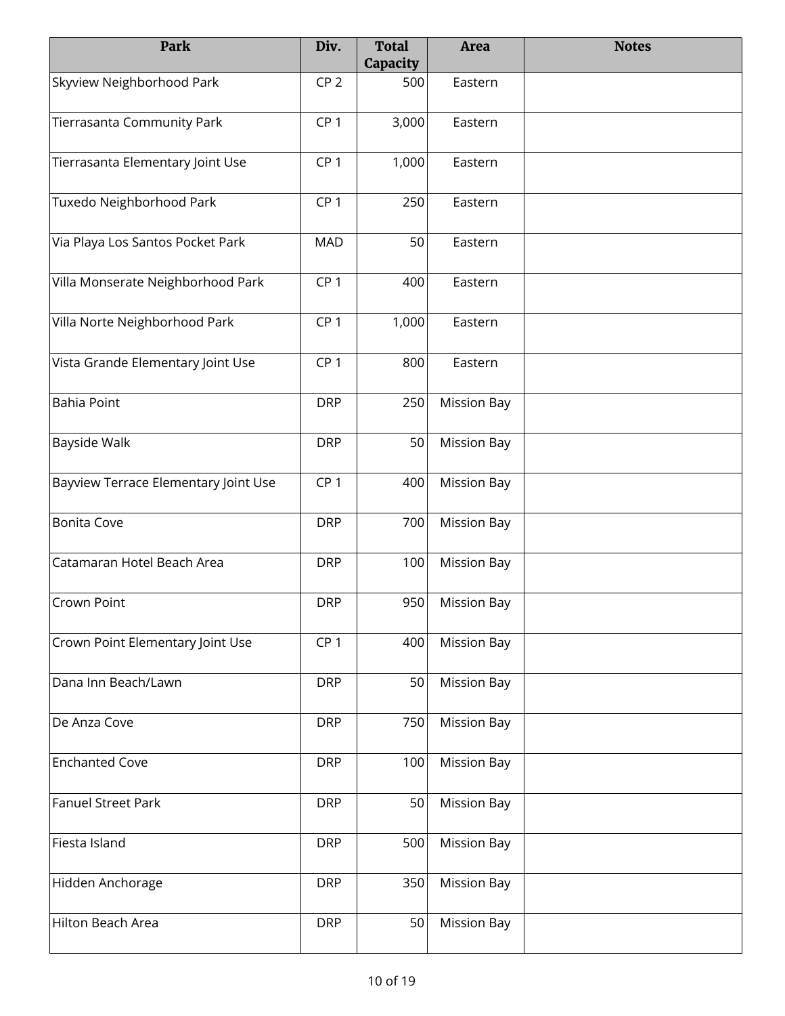| Park                                 | Div.            | <b>Total</b><br>Capacity | <b>Area</b>        | <b>Notes</b> |
|--------------------------------------|-----------------|--------------------------|--------------------|--------------|
| Skyview Neighborhood Park            | CP <sub>2</sub> | 500                      | Eastern            |              |
| Tierrasanta Community Park           | CP <sub>1</sub> | 3,000                    | Eastern            |              |
| Tierrasanta Elementary Joint Use     | CP <sub>1</sub> | 1,000                    | Eastern            |              |
| Tuxedo Neighborhood Park             | CP <sub>1</sub> | 250                      | Eastern            |              |
| Via Playa Los Santos Pocket Park     | <b>MAD</b>      | 50                       | Eastern            |              |
| Villa Monserate Neighborhood Park    | CP <sub>1</sub> | 400                      | Eastern            |              |
| Villa Norte Neighborhood Park        | CP <sub>1</sub> | 1,000                    | Eastern            |              |
| Vista Grande Elementary Joint Use    | CP <sub>1</sub> | 800                      | Eastern            |              |
| Bahia Point                          | <b>DRP</b>      | 250                      | <b>Mission Bay</b> |              |
| <b>Bayside Walk</b>                  | <b>DRP</b>      | 50                       | <b>Mission Bay</b> |              |
| Bayview Terrace Elementary Joint Use | CP <sub>1</sub> | 400                      | <b>Mission Bay</b> |              |
| Bonita Cove                          | <b>DRP</b>      | 700                      | <b>Mission Bay</b> |              |
| Catamaran Hotel Beach Area           | <b>DRP</b>      | 100                      | <b>Mission Bay</b> |              |
| <b>Crown Point</b>                   | <b>DRP</b>      | 950                      | <b>Mission Bay</b> |              |
| Crown Point Elementary Joint Use     | CP <sub>1</sub> | 400                      | <b>Mission Bay</b> |              |
| Dana Inn Beach/Lawn                  | <b>DRP</b>      | 50                       | <b>Mission Bay</b> |              |
| De Anza Cove                         | <b>DRP</b>      | 750                      | <b>Mission Bay</b> |              |
| <b>Enchanted Cove</b>                | <b>DRP</b>      | 100                      | <b>Mission Bay</b> |              |
| Fanuel Street Park                   | <b>DRP</b>      | 50                       | <b>Mission Bay</b> |              |
| Fiesta Island                        | <b>DRP</b>      | 500                      | <b>Mission Bay</b> |              |
| Hidden Anchorage                     | <b>DRP</b>      | 350                      | <b>Mission Bay</b> |              |
| Hilton Beach Area                    | <b>DRP</b>      | 50                       | <b>Mission Bay</b> |              |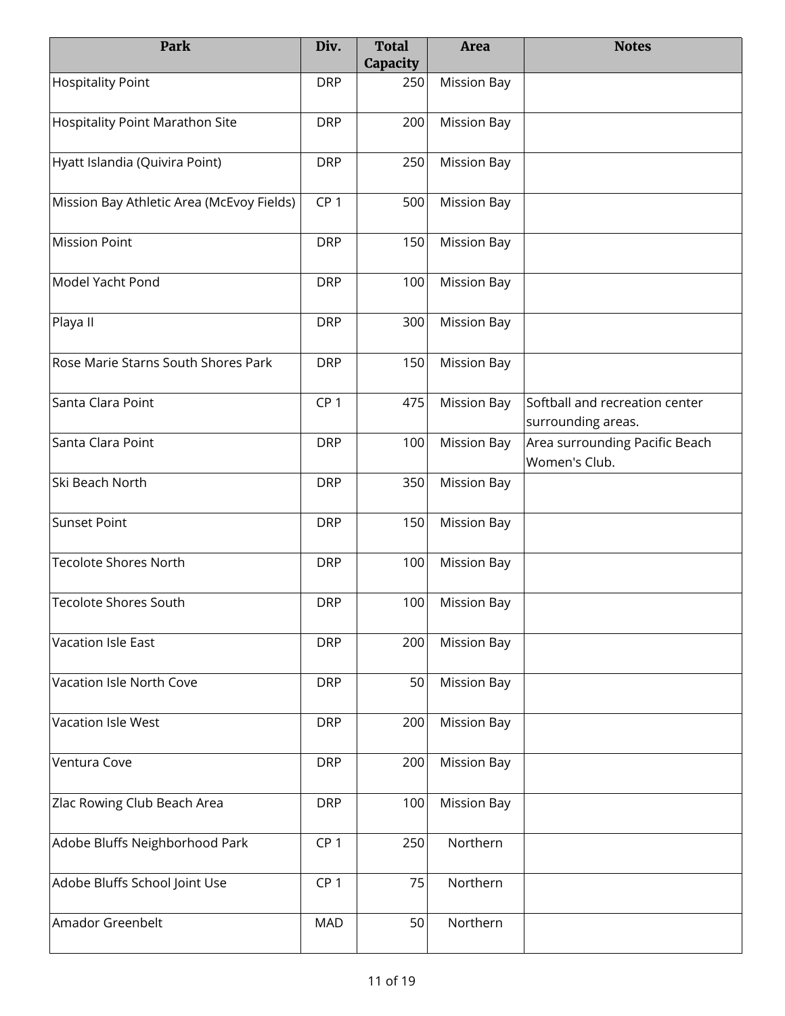| Park                                      | Div.            | <b>Total</b><br>Capacity | <b>Area</b>        | <b>Notes</b>                                         |
|-------------------------------------------|-----------------|--------------------------|--------------------|------------------------------------------------------|
| <b>Hospitality Point</b>                  | <b>DRP</b>      | 250                      | <b>Mission Bay</b> |                                                      |
| Hospitality Point Marathon Site           | <b>DRP</b>      | 200                      | <b>Mission Bay</b> |                                                      |
| Hyatt Islandia (Quivira Point)            | <b>DRP</b>      | 250                      | <b>Mission Bay</b> |                                                      |
| Mission Bay Athletic Area (McEvoy Fields) | CP <sub>1</sub> | 500                      | <b>Mission Bay</b> |                                                      |
| <b>Mission Point</b>                      | <b>DRP</b>      | 150                      | <b>Mission Bay</b> |                                                      |
| Model Yacht Pond                          | <b>DRP</b>      | 100                      | <b>Mission Bay</b> |                                                      |
| Playa II                                  | <b>DRP</b>      | 300                      | <b>Mission Bay</b> |                                                      |
| Rose Marie Starns South Shores Park       | <b>DRP</b>      | 150                      | <b>Mission Bay</b> |                                                      |
| Santa Clara Point                         | CP <sub>1</sub> | 475                      | <b>Mission Bay</b> | Softball and recreation center<br>surrounding areas. |
| Santa Clara Point                         | <b>DRP</b>      | 100                      | <b>Mission Bay</b> | Area surrounding Pacific Beach<br>Women's Club.      |
| Ski Beach North                           | <b>DRP</b>      | 350                      | <b>Mission Bay</b> |                                                      |
| Sunset Point                              | <b>DRP</b>      | 150                      | <b>Mission Bay</b> |                                                      |
| <b>Tecolote Shores North</b>              | <b>DRP</b>      | 100                      | <b>Mission Bay</b> |                                                      |
| <b>Tecolote Shores South</b>              | <b>DRP</b>      | 100                      | <b>Mission Bay</b> |                                                      |
| Vacation Isle East                        | <b>DRP</b>      | 200                      | <b>Mission Bay</b> |                                                      |
| Vacation Isle North Cove                  | <b>DRP</b>      | 50                       | <b>Mission Bay</b> |                                                      |
| Vacation Isle West                        | <b>DRP</b>      | 200                      | <b>Mission Bay</b> |                                                      |
| Ventura Cove                              | <b>DRP</b>      | 200                      | <b>Mission Bay</b> |                                                      |
| Zlac Rowing Club Beach Area               | <b>DRP</b>      | 100                      | <b>Mission Bay</b> |                                                      |
| Adobe Bluffs Neighborhood Park            | CP <sub>1</sub> | 250                      | Northern           |                                                      |
| Adobe Bluffs School Joint Use             | CP <sub>1</sub> | 75                       | Northern           |                                                      |
| Amador Greenbelt                          | <b>MAD</b>      | 50                       | Northern           |                                                      |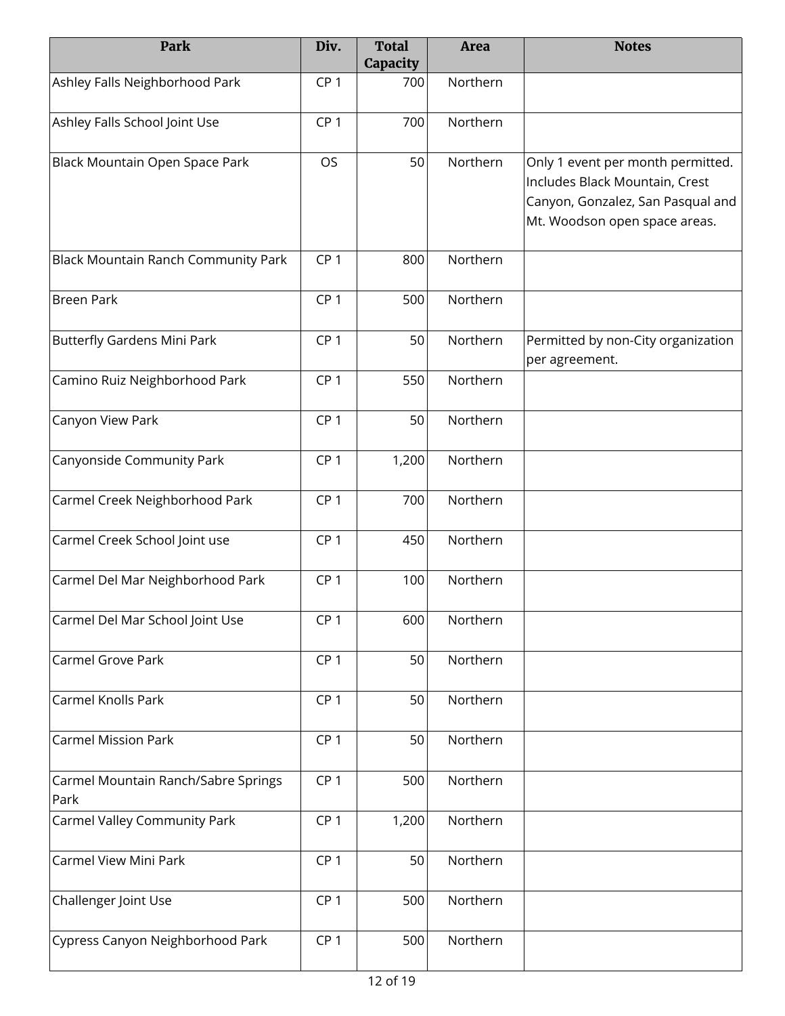| Park                                        | Div.            | <b>Total</b><br>Capacity | <b>Area</b> | <b>Notes</b>                                                                                                                              |
|---------------------------------------------|-----------------|--------------------------|-------------|-------------------------------------------------------------------------------------------------------------------------------------------|
| Ashley Falls Neighborhood Park              | CP <sub>1</sub> | 700                      | Northern    |                                                                                                                                           |
| Ashley Falls School Joint Use               | CP <sub>1</sub> | 700                      | Northern    |                                                                                                                                           |
| Black Mountain Open Space Park              | OS              | 50                       | Northern    | Only 1 event per month permitted.<br>Includes Black Mountain, Crest<br>Canyon, Gonzalez, San Pasqual and<br>Mt. Woodson open space areas. |
| Black Mountain Ranch Community Park         | CP <sub>1</sub> | 800                      | Northern    |                                                                                                                                           |
| <b>Breen Park</b>                           | CP <sub>1</sub> | 500                      | Northern    |                                                                                                                                           |
| <b>Butterfly Gardens Mini Park</b>          | CP <sub>1</sub> | 50                       | Northern    | Permitted by non-City organization<br>per agreement.                                                                                      |
| Camino Ruiz Neighborhood Park               | CP <sub>1</sub> | 550                      | Northern    |                                                                                                                                           |
| Canyon View Park                            | CP <sub>1</sub> | 50                       | Northern    |                                                                                                                                           |
| Canyonside Community Park                   | CP <sub>1</sub> | 1,200                    | Northern    |                                                                                                                                           |
| Carmel Creek Neighborhood Park              | CP <sub>1</sub> | 700                      | Northern    |                                                                                                                                           |
| Carmel Creek School Joint use               | CP <sub>1</sub> | 450                      | Northern    |                                                                                                                                           |
| Carmel Del Mar Neighborhood Park            | CP <sub>1</sub> | 100                      | Northern    |                                                                                                                                           |
| Carmel Del Mar School Joint Use             | CP <sub>1</sub> | 600                      | Northern    |                                                                                                                                           |
| Carmel Grove Park                           | CP <sub>1</sub> | 50                       | Northern    |                                                                                                                                           |
| Carmel Knolls Park                          | CP <sub>1</sub> | 50                       | Northern    |                                                                                                                                           |
| <b>Carmel Mission Park</b>                  | CP <sub>1</sub> | 50                       | Northern    |                                                                                                                                           |
| Carmel Mountain Ranch/Sabre Springs<br>Park | CP <sub>1</sub> | 500                      | Northern    |                                                                                                                                           |
| Carmel Valley Community Park                | CP <sub>1</sub> | 1,200                    | Northern    |                                                                                                                                           |
| Carmel View Mini Park                       | CP <sub>1</sub> | 50                       | Northern    |                                                                                                                                           |
| Challenger Joint Use                        | CP <sub>1</sub> | 500                      | Northern    |                                                                                                                                           |
| Cypress Canyon Neighborhood Park            | CP <sub>1</sub> | 500                      | Northern    |                                                                                                                                           |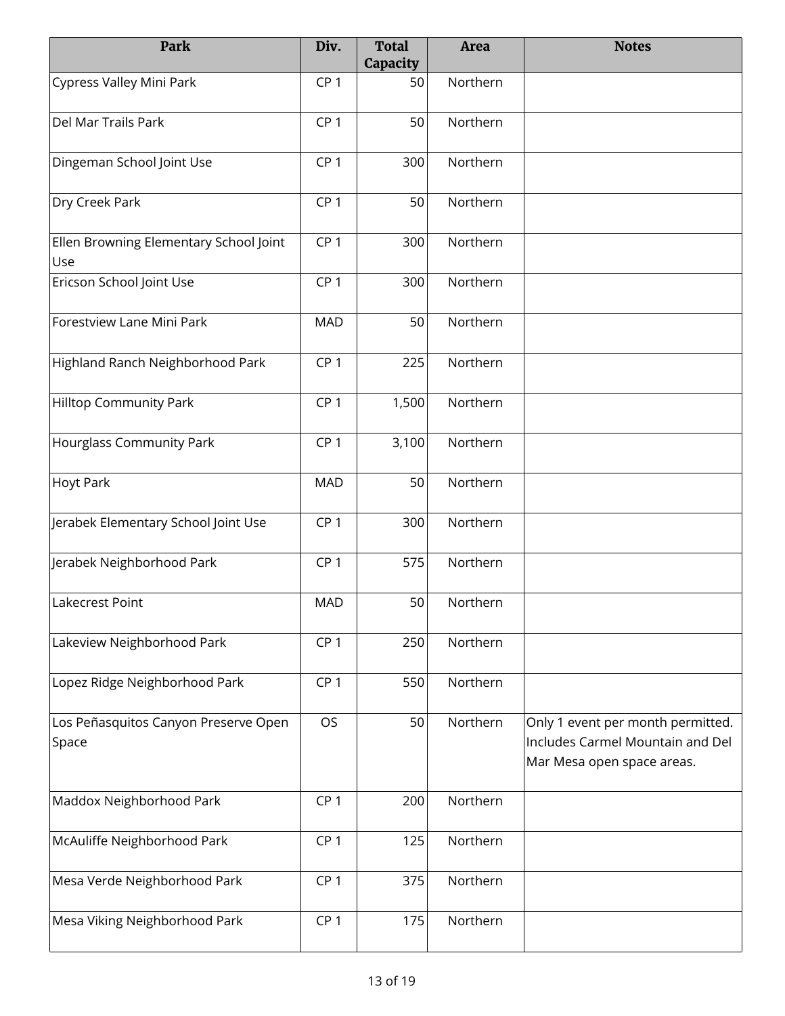| Park                                          | Div.            | <b>Total</b><br>Capacity | Area     | <b>Notes</b>                                                                                        |
|-----------------------------------------------|-----------------|--------------------------|----------|-----------------------------------------------------------------------------------------------------|
| Cypress Valley Mini Park                      | CP <sub>1</sub> | 50                       | Northern |                                                                                                     |
| Del Mar Trails Park                           | CP <sub>1</sub> | 50                       | Northern |                                                                                                     |
| Dingeman School Joint Use                     | CP <sub>1</sub> | 300                      | Northern |                                                                                                     |
| Dry Creek Park                                | CP <sub>1</sub> | 50                       | Northern |                                                                                                     |
| Ellen Browning Elementary School Joint<br>Use | CP <sub>1</sub> | 300                      | Northern |                                                                                                     |
| Ericson School Joint Use                      | CP <sub>1</sub> | 300                      | Northern |                                                                                                     |
| Forestview Lane Mini Park                     | <b>MAD</b>      | 50                       | Northern |                                                                                                     |
| Highland Ranch Neighborhood Park              | CP <sub>1</sub> | 225                      | Northern |                                                                                                     |
| <b>Hilltop Community Park</b>                 | CP <sub>1</sub> | 1,500                    | Northern |                                                                                                     |
| Hourglass Community Park                      | CP <sub>1</sub> | 3,100                    | Northern |                                                                                                     |
| <b>Hoyt Park</b>                              | <b>MAD</b>      | 50                       | Northern |                                                                                                     |
| Jerabek Elementary School Joint Use           | CP <sub>1</sub> | 300                      | Northern |                                                                                                     |
| Jerabek Neighborhood Park                     | CP <sub>1</sub> | 575                      | Northern |                                                                                                     |
| Lakecrest Point                               | <b>MAD</b>      | 50                       | Northern |                                                                                                     |
| Lakeview Neighborhood Park                    | CP <sub>1</sub> | 250                      | Northern |                                                                                                     |
| Lopez Ridge Neighborhood Park                 | CP <sub>1</sub> | 550                      | Northern |                                                                                                     |
| Los Peñasquitos Canyon Preserve Open<br>Space | <b>OS</b>       | 50                       | Northern | Only 1 event per month permitted.<br>Includes Carmel Mountain and Del<br>Mar Mesa open space areas. |
| Maddox Neighborhood Park                      | CP <sub>1</sub> | 200                      | Northern |                                                                                                     |
| McAuliffe Neighborhood Park                   | CP <sub>1</sub> | 125                      | Northern |                                                                                                     |
| Mesa Verde Neighborhood Park                  | CP <sub>1</sub> | 375                      | Northern |                                                                                                     |
| Mesa Viking Neighborhood Park                 | CP <sub>1</sub> | 175                      | Northern |                                                                                                     |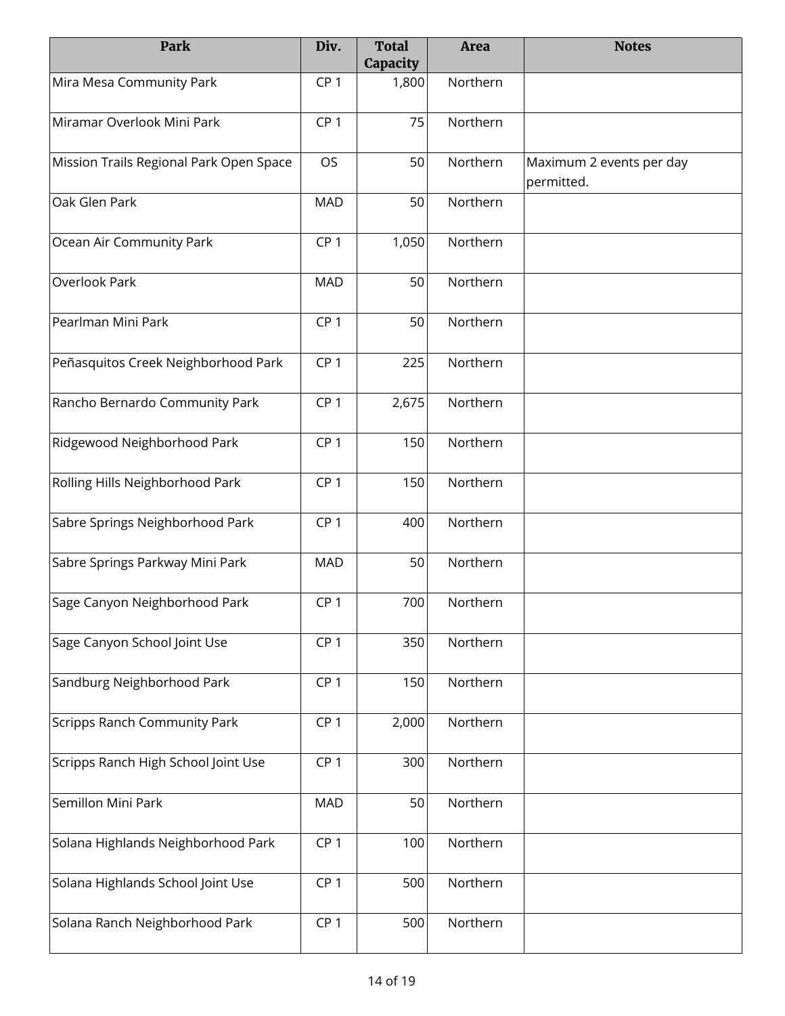| Park                                    | Div.            | <b>Total</b><br>Capacity | <b>Area</b> | <b>Notes</b>                           |
|-----------------------------------------|-----------------|--------------------------|-------------|----------------------------------------|
| Mira Mesa Community Park                | CP <sub>1</sub> | 1,800                    | Northern    |                                        |
| Miramar Overlook Mini Park              | CP <sub>1</sub> | 75                       | Northern    |                                        |
| Mission Trails Regional Park Open Space | OS              | 50                       | Northern    | Maximum 2 events per day<br>permitted. |
| Oak Glen Park                           | <b>MAD</b>      | 50                       | Northern    |                                        |
| Ocean Air Community Park                | CP <sub>1</sub> | 1,050                    | Northern    |                                        |
| Overlook Park                           | <b>MAD</b>      | 50                       | Northern    |                                        |
| Pearlman Mini Park                      | CP <sub>1</sub> | 50                       | Northern    |                                        |
| Peñasquitos Creek Neighborhood Park     | CP <sub>1</sub> | 225                      | Northern    |                                        |
| Rancho Bernardo Community Park          | CP <sub>1</sub> | 2,675                    | Northern    |                                        |
| Ridgewood Neighborhood Park             | CP <sub>1</sub> | 150                      | Northern    |                                        |
| Rolling Hills Neighborhood Park         | CP <sub>1</sub> | 150                      | Northern    |                                        |
| Sabre Springs Neighborhood Park         | CP <sub>1</sub> | 400                      | Northern    |                                        |
| Sabre Springs Parkway Mini Park         | <b>MAD</b>      | 50                       | Northern    |                                        |
| Sage Canyon Neighborhood Park           | CP <sub>1</sub> | 700                      | Northern    |                                        |
| Sage Canyon School Joint Use            | CP <sub>1</sub> | 350                      | Northern    |                                        |
| Sandburg Neighborhood Park              | CP <sub>1</sub> | 150                      | Northern    |                                        |
| <b>Scripps Ranch Community Park</b>     | CP <sub>1</sub> | 2,000                    | Northern    |                                        |
| Scripps Ranch High School Joint Use     | CP <sub>1</sub> | 300                      | Northern    |                                        |
| Semillon Mini Park                      | <b>MAD</b>      | 50                       | Northern    |                                        |
| Solana Highlands Neighborhood Park      | CP <sub>1</sub> | 100                      | Northern    |                                        |
| Solana Highlands School Joint Use       | CP <sub>1</sub> | 500                      | Northern    |                                        |
| Solana Ranch Neighborhood Park          | CP <sub>1</sub> | 500                      | Northern    |                                        |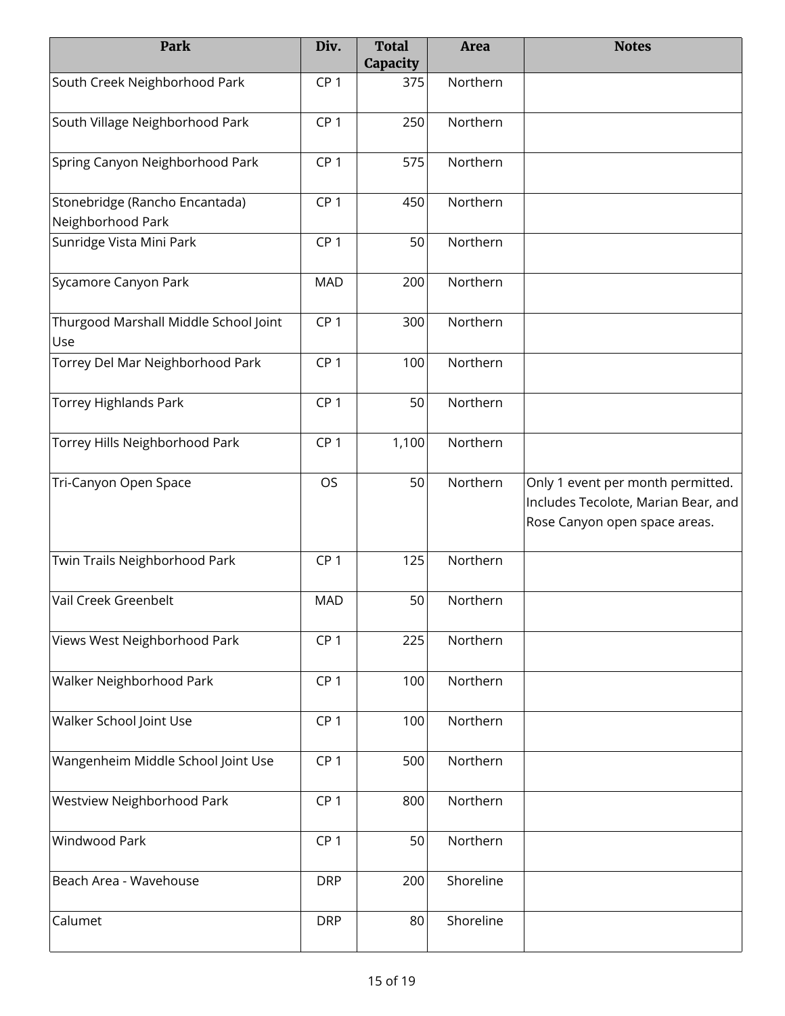| Park                                                | Div.            | <b>Total</b><br>Capacity | <b>Area</b> | <b>Notes</b>                                                                                              |
|-----------------------------------------------------|-----------------|--------------------------|-------------|-----------------------------------------------------------------------------------------------------------|
| South Creek Neighborhood Park                       | CP <sub>1</sub> | 375                      | Northern    |                                                                                                           |
| South Village Neighborhood Park                     | CP <sub>1</sub> | 250                      | Northern    |                                                                                                           |
| Spring Canyon Neighborhood Park                     | CP <sub>1</sub> | 575                      | Northern    |                                                                                                           |
| Stonebridge (Rancho Encantada)<br>Neighborhood Park | CP <sub>1</sub> | 450                      | Northern    |                                                                                                           |
| Sunridge Vista Mini Park                            | CP <sub>1</sub> | 50                       | Northern    |                                                                                                           |
| Sycamore Canyon Park                                | <b>MAD</b>      | 200                      | Northern    |                                                                                                           |
| Thurgood Marshall Middle School Joint<br>Use        | CP <sub>1</sub> | 300                      | Northern    |                                                                                                           |
| Torrey Del Mar Neighborhood Park                    | CP <sub>1</sub> | 100                      | Northern    |                                                                                                           |
| <b>Torrey Highlands Park</b>                        | CP <sub>1</sub> | 50                       | Northern    |                                                                                                           |
| Torrey Hills Neighborhood Park                      | CP <sub>1</sub> | 1,100                    | Northern    |                                                                                                           |
| Tri-Canyon Open Space                               | OS              | 50                       | Northern    | Only 1 event per month permitted.<br>Includes Tecolote, Marian Bear, and<br>Rose Canyon open space areas. |
| Twin Trails Neighborhood Park                       | CP <sub>1</sub> | 125                      | Northern    |                                                                                                           |
| Vail Creek Greenbelt                                | <b>MAD</b>      | 50                       | Northern    |                                                                                                           |
| Views West Neighborhood Park                        | CP <sub>1</sub> | 225                      | Northern    |                                                                                                           |
| Walker Neighborhood Park                            | CP <sub>1</sub> | 100                      | Northern    |                                                                                                           |
| Walker School Joint Use                             | CP <sub>1</sub> | 100                      | Northern    |                                                                                                           |
| Wangenheim Middle School Joint Use                  | CP <sub>1</sub> | 500                      | Northern    |                                                                                                           |
| Westview Neighborhood Park                          | CP <sub>1</sub> | 800                      | Northern    |                                                                                                           |
| Windwood Park                                       | CP <sub>1</sub> | 50                       | Northern    |                                                                                                           |
| Beach Area - Wavehouse                              | <b>DRP</b>      | 200                      | Shoreline   |                                                                                                           |
| Calumet                                             | <b>DRP</b>      | 80                       | Shoreline   |                                                                                                           |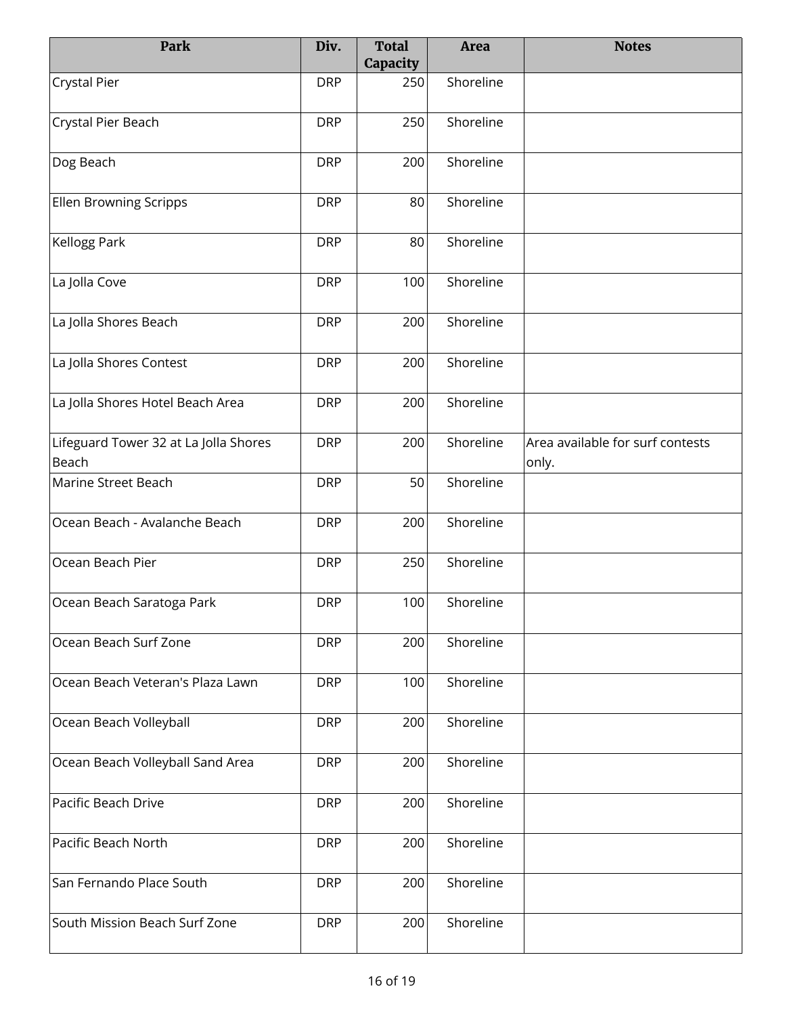| Park                                           | Div.       | <b>Total</b><br>Capacity | <b>Area</b> | <b>Notes</b>                              |
|------------------------------------------------|------------|--------------------------|-------------|-------------------------------------------|
| <b>Crystal Pier</b>                            | <b>DRP</b> | 250                      | Shoreline   |                                           |
| Crystal Pier Beach                             | <b>DRP</b> | 250                      | Shoreline   |                                           |
| Dog Beach                                      | <b>DRP</b> | 200                      | Shoreline   |                                           |
| <b>Ellen Browning Scripps</b>                  | <b>DRP</b> | 80                       | Shoreline   |                                           |
| Kellogg Park                                   | <b>DRP</b> | 80                       | Shoreline   |                                           |
| La Jolla Cove                                  | <b>DRP</b> | 100                      | Shoreline   |                                           |
| La Jolla Shores Beach                          | <b>DRP</b> | 200                      | Shoreline   |                                           |
| La Jolla Shores Contest                        | <b>DRP</b> | 200                      | Shoreline   |                                           |
| La Jolla Shores Hotel Beach Area               | <b>DRP</b> | 200                      | Shoreline   |                                           |
| Lifeguard Tower 32 at La Jolla Shores<br>Beach | <b>DRP</b> | 200                      | Shoreline   | Area available for surf contests<br>only. |
| Marine Street Beach                            | <b>DRP</b> | 50                       | Shoreline   |                                           |
| Ocean Beach - Avalanche Beach                  | <b>DRP</b> | 200                      | Shoreline   |                                           |
| Ocean Beach Pier                               | <b>DRP</b> | 250                      | Shoreline   |                                           |
| Ocean Beach Saratoga Park                      | <b>DRP</b> | 100                      | Shoreline   |                                           |
| Ocean Beach Surf Zone                          | <b>DRP</b> | 200                      | Shoreline   |                                           |
| Ocean Beach Veteran's Plaza Lawn               | <b>DRP</b> | 100                      | Shoreline   |                                           |
| Ocean Beach Volleyball                         | <b>DRP</b> | 200                      | Shoreline   |                                           |
| Ocean Beach Volleyball Sand Area               | <b>DRP</b> | 200                      | Shoreline   |                                           |
| Pacific Beach Drive                            | <b>DRP</b> | 200                      | Shoreline   |                                           |
| Pacific Beach North                            | <b>DRP</b> | 200                      | Shoreline   |                                           |
| San Fernando Place South                       | <b>DRP</b> | 200                      | Shoreline   |                                           |
| South Mission Beach Surf Zone                  | <b>DRP</b> | 200                      | Shoreline   |                                           |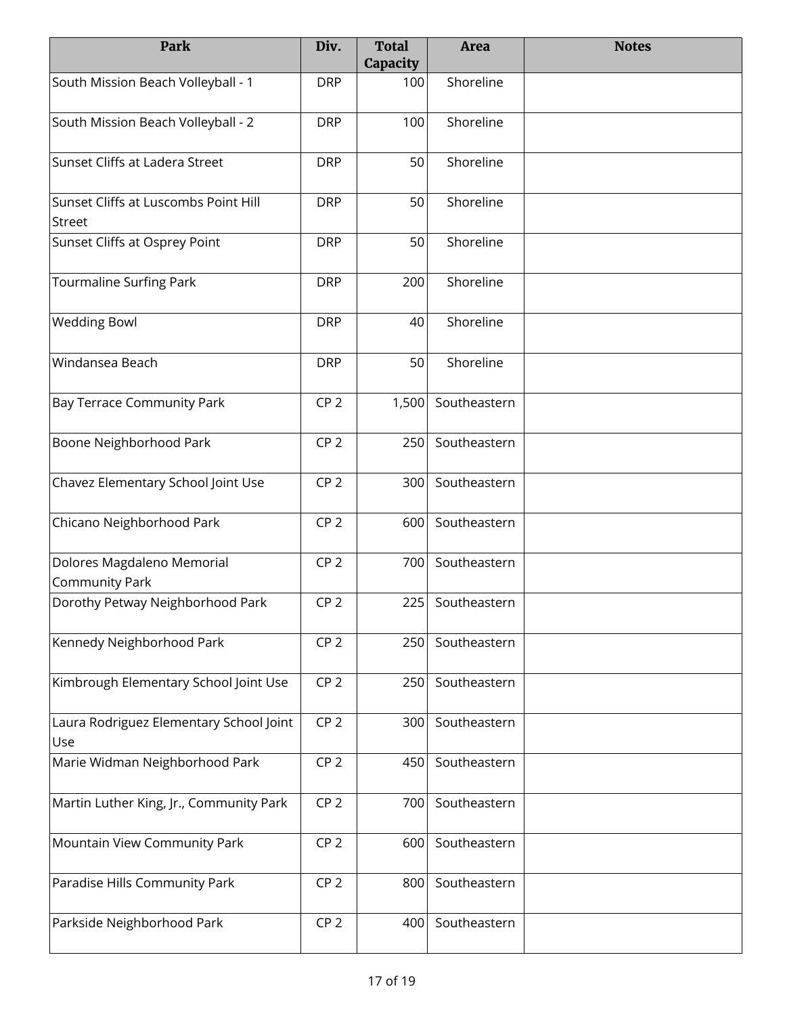| Park                                           | Div.            | <b>Total</b><br>Capacity | <b>Area</b>  | <b>Notes</b> |
|------------------------------------------------|-----------------|--------------------------|--------------|--------------|
| South Mission Beach Volleyball - 1             | <b>DRP</b>      | 100                      | Shoreline    |              |
| South Mission Beach Volleyball - 2             | <b>DRP</b>      | 100                      | Shoreline    |              |
| Sunset Cliffs at Ladera Street                 | <b>DRP</b>      | 50                       | Shoreline    |              |
| Sunset Cliffs at Luscombs Point Hill<br>Street | <b>DRP</b>      | 50                       | Shoreline    |              |
| Sunset Cliffs at Osprey Point                  | <b>DRP</b>      | 50                       | Shoreline    |              |
| Tourmaline Surfing Park                        | <b>DRP</b>      | 200                      | Shoreline    |              |
| <b>Wedding Bowl</b>                            | <b>DRP</b>      | 40                       | Shoreline    |              |
| Windansea Beach                                | <b>DRP</b>      | 50                       | Shoreline    |              |
| <b>Bay Terrace Community Park</b>              | CP <sub>2</sub> | 1,500                    | Southeastern |              |
| Boone Neighborhood Park                        | CP <sub>2</sub> | 250                      | Southeastern |              |
| Chavez Elementary School Joint Use             | CP <sub>2</sub> | 300                      | Southeastern |              |
| Chicano Neighborhood Park                      | CP <sub>2</sub> | 600                      | Southeastern |              |
| Dolores Magdaleno Memorial<br>Community Park   | CP <sub>2</sub> | 700                      | Southeastern |              |
| Dorothy Petway Neighborhood Park               | CP <sub>2</sub> | 225                      | Southeastern |              |
| Kennedy Neighborhood Park                      | CP <sub>2</sub> | 250                      | Southeastern |              |
| Kimbrough Elementary School Joint Use          | CP <sub>2</sub> | 250                      | Southeastern |              |
| Laura Rodriguez Elementary School Joint<br>Use | CP <sub>2</sub> | 300                      | Southeastern |              |
| Marie Widman Neighborhood Park                 | CP <sub>2</sub> | 450                      | Southeastern |              |
| Martin Luther King, Jr., Community Park        | CP <sub>2</sub> | 700                      | Southeastern |              |
| Mountain View Community Park                   | CP <sub>2</sub> | 600                      | Southeastern |              |
| Paradise Hills Community Park                  | CP <sub>2</sub> | 800                      | Southeastern |              |
| Parkside Neighborhood Park                     | CP <sub>2</sub> | 400                      | Southeastern |              |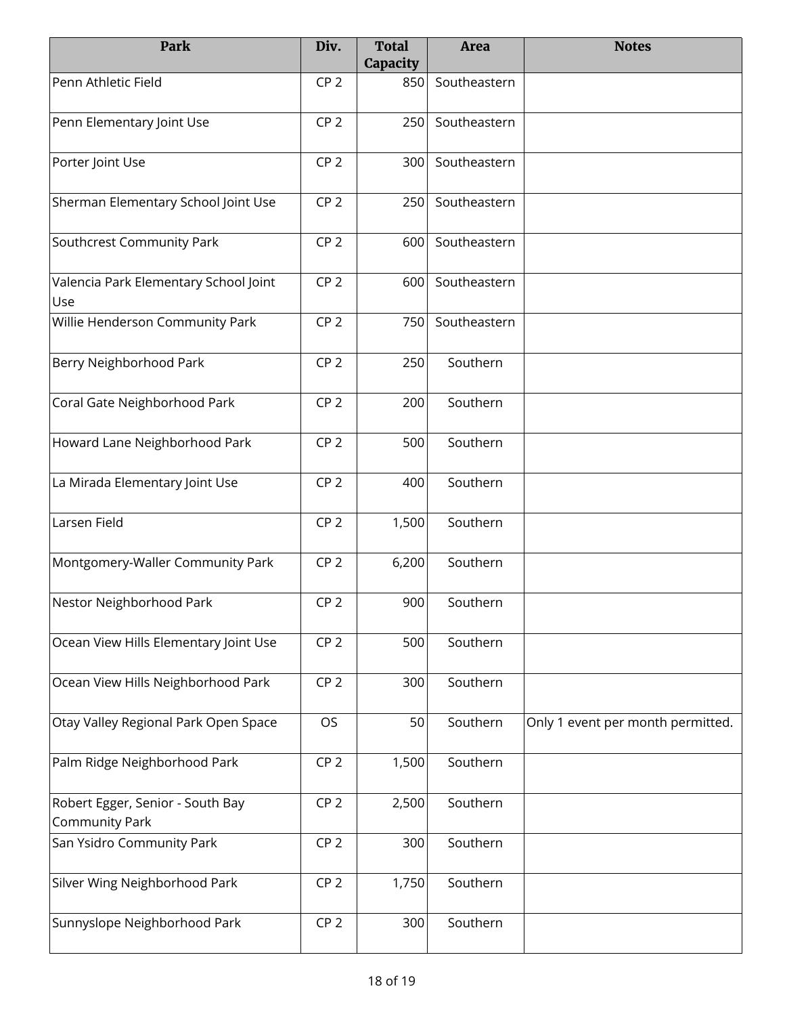| Park                                                      | Div.            | <b>Total</b><br>Capacity | <b>Area</b>  | <b>Notes</b>                      |
|-----------------------------------------------------------|-----------------|--------------------------|--------------|-----------------------------------|
| Penn Athletic Field                                       | CP <sub>2</sub> | 850                      | Southeastern |                                   |
| Penn Elementary Joint Use                                 | CP <sub>2</sub> | 250                      | Southeastern |                                   |
| Porter Joint Use                                          | CP <sub>2</sub> | 300                      | Southeastern |                                   |
| Sherman Elementary School Joint Use                       | CP <sub>2</sub> | 250                      | Southeastern |                                   |
| Southcrest Community Park                                 | CP <sub>2</sub> | 600                      | Southeastern |                                   |
| Valencia Park Elementary School Joint<br>Use              | CP <sub>2</sub> | 600                      | Southeastern |                                   |
| Willie Henderson Community Park                           | CP <sub>2</sub> | 750                      | Southeastern |                                   |
| Berry Neighborhood Park                                   | CP <sub>2</sub> | 250                      | Southern     |                                   |
| Coral Gate Neighborhood Park                              | CP <sub>2</sub> | 200                      | Southern     |                                   |
| Howard Lane Neighborhood Park                             | CP <sub>2</sub> | 500                      | Southern     |                                   |
| La Mirada Elementary Joint Use                            | CP <sub>2</sub> | 400                      | Southern     |                                   |
| Larsen Field                                              | CP <sub>2</sub> | 1,500                    | Southern     |                                   |
| Montgomery-Waller Community Park                          | CP <sub>2</sub> | 6,200                    | Southern     |                                   |
| Nestor Neighborhood Park                                  | CP <sub>2</sub> | 900                      | Southern     |                                   |
| Ocean View Hills Elementary Joint Use                     | CP <sub>2</sub> | 500                      | Southern     |                                   |
| Ocean View Hills Neighborhood Park                        | CP <sub>2</sub> | 300                      | Southern     |                                   |
| Otay Valley Regional Park Open Space                      | <b>OS</b>       | 50                       | Southern     | Only 1 event per month permitted. |
| Palm Ridge Neighborhood Park                              | CP <sub>2</sub> | 1,500                    | Southern     |                                   |
| Robert Egger, Senior - South Bay<br><b>Community Park</b> | CP <sub>2</sub> | 2,500                    | Southern     |                                   |
| San Ysidro Community Park                                 | CP <sub>2</sub> | 300                      | Southern     |                                   |
| Silver Wing Neighborhood Park                             | CP <sub>2</sub> | 1,750                    | Southern     |                                   |
| Sunnyslope Neighborhood Park                              | CP <sub>2</sub> | 300                      | Southern     |                                   |